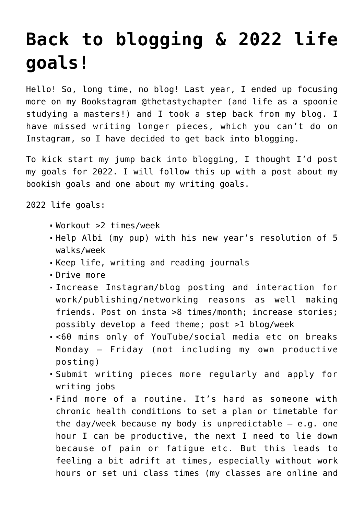## **[Back to blogging & 2022 life](https://www.glimpsinggembles.com/2022/02/24/10191/) [goals!](https://www.glimpsinggembles.com/2022/02/24/10191/)**

Hello! So, long time, no blog! Last year, I ended up focusing more on my Bookstagram @thetastychapter (and life as a spoonie studying a masters!) and I took a step back from my blog. I have missed writing longer pieces, which you can't do on Instagram, so I have decided to get back into blogging.

To kick start my jump back into blogging, I thought I'd post my goals for 2022. I will follow this up with a post about my bookish goals and one about my writing goals.

2022 life goals:

- Workout >2 times/week
- Help Albi (my pup) with his new year's resolution of 5 walks/week
- Keep life, writing and reading journals
- Drive more
- Increase Instagram/blog posting and interaction for work/publishing/networking reasons as well making friends. Post on insta >8 times/month; increase stories; possibly develop a feed theme; post >1 blog/week
- <60 mins only of YouTube/social media etc on breaks Monday – Friday (not including my own productive posting)
- Submit writing pieces more regularly and apply for writing jobs
- Find more of a routine. It's hard as someone with chronic health conditions to set a plan or timetable for the day/week because my body is unpredictable  $-$  e.g. one hour I can be productive, the next I need to lie down because of pain or fatigue etc. But this leads to feeling a bit adrift at times, especially without work hours or set uni class times (my classes are online and